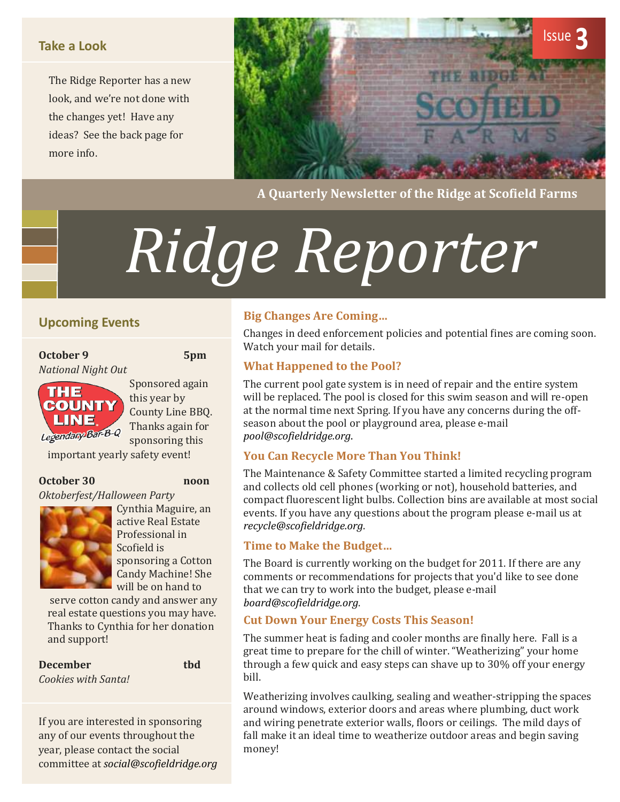#### **Take a Look**

The Ridge Reporter has a new look, and we're not done with the changes yet! Have any ideas? See the back page for more info.



**A Quarterly Newsletter of the Ridge at Scofield Farms**

# *Ridge Reporter*

#### **Upcoming Events**

**October 9 5pm** *National Night Out*



Sponsored again this year by County Line BBQ. Thanks again for sponsoring this

important yearly safety event!

#### **October 30 noon**

*Oktoberfest/Halloween Party*



Cynthia Maguire, an active Real Estate Professional in Scofield is sponsoring a Cotton Candy Machine! She will be on hand to

serve cotton candy and answer any real estate questions you may have. Thanks to Cynthia for her donation and support!

**December tbd** *Cookies with Santa!*

If you are interested in sponsoring any of our events throughout the year, please contact the social committee at *[social@scofieldridge.org](mailto:social@scofieldridge.org)*

#### **Big Changes Are Coming…**

Changes in deed enforcement policies and potential fines are coming soon. Watch your mail for details.

#### **What Happened to the Pool?**

The current pool gate system is in need of repair and the entire system will be replaced. The pool is closed for this swim season and will re-open at the normal time next Spring. If you have any concerns during the offseason about the pool or playground area, please e-mail *[pool@scofieldridge.org](mailto:pool@scofieldridge.org)*.

#### **You Can Recycle More Than You Think!**

The Maintenance & Safety Committee started a limited recycling program and collects old cell phones (working or not), household batteries, and compact fluorescent light bulbs. Collection bins are available at most social events. If you have any questions about the program please e-mail us at *[recycle@scofieldridge.org](mailto:recycle@scofieldridge.org)*.

#### **Time to Make the Budget…**

The Board is currently working on the budget for 2011. If there are any comments or recommendations for projects that you'd like to see done that we can try to work into the budget, please e-mail *[board@scofieldridge.org](mailto:board@scofieldridge.org)*.

#### **Cut Down Your Energy Costs This Season!**

The summer heat is fading and cooler months are finally here. Fall is a great time to prepare for the chill of winter. "Weatherizing" your home through a few quick and easy steps can shave up to 30% off your energy bill.

Weatherizing involves caulking, sealing and weather-stripping the spaces around windows, exterior doors and areas where plumbing, duct work and wiring penetrate exterior walls, floors or ceilings. The mild days of fall make it an ideal time to weatherize outdoor areas and begin saving money!